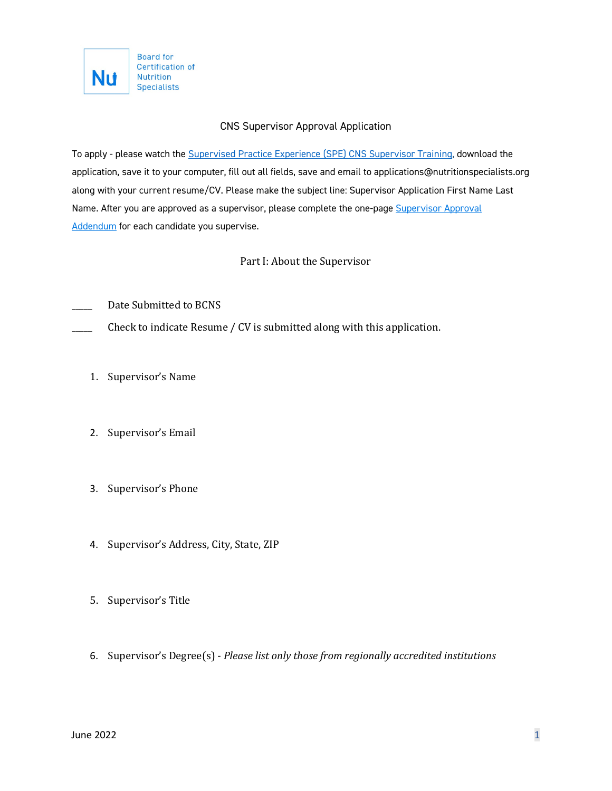

# CNS Supervisor Approval Application

To apply - please watch the [Supervised Practice Experience \(SPE\) CNS Supervisor Training,](https://theana.org/sites/default/files/2022-01/Supervisor%20Training%20Recording.mp4) download the application, save it to your computer, fill out all fields, save and email to applications@nutritionspecialists.org along with your current resume/CV. Please make the subject line: Supervisor Application First Name Last Name. After you are approved as a supervisor, please complete the one-page [Supervisor](https://theana.org/sites/default/files/2021-10/Supervisor%20Application%20Addendum.pdf) Approval [Addendum](https://theana.org/sites/default/files/2021-10/Supervisor%20Application%20Addendum.pdf) for each candidate you supervise.

# Part I: About the Supervisor

Date Submitted to BCNS

Check to indicate Resume / CV is submitted along with this application.

- 1. Supervisor's Name
- 2. Supervisor's Email
- 3. Supervisor's Phone
- 4. Supervisor's Address, City, State, ZIP
- 5. Supervisor's Title
- 6. Supervisor's Degree(s) *Please list only those from regionally accredited institutions*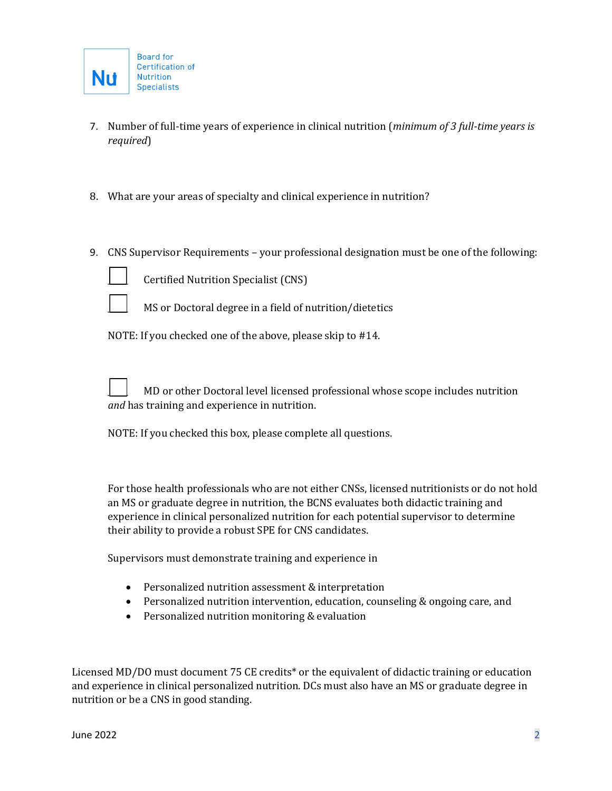- 7. Number of full-time years of experience in clinical nutrition (*minimum of 3 full-time years is required*)
- 8. What are your areas of specialty and clinical experience in nutrition?
- 9. CNS Supervisor Requirements your professional designation must be one of the following:



Certified Nutrition Specialist (CNS)



MS or Doctoral degree in a field of nutrition/dietetics

NOTE: If you checked one of the above, please skip to #14.

\_\_\_\_\_ MD or other Doctoral level licensed professional whose scope includes nutrition *and* has training and experience in nutrition.

NOTE: If you checked this box, please complete all questions.

For those health professionals who are not either CNSs, licensed nutritionists or do not hold an MS or graduate degree in nutrition, the BCNS evaluates both didactic training and experience in clinical personalized nutrition for each potential supervisor to determine their ability to provide a robust SPE for CNS candidates.

Supervisors must demonstrate training and experience in

- Personalized nutrition assessment & interpretation
- Personalized nutrition intervention, education, counseling & ongoing care, and
- Personalized nutrition monitoring & evaluation

Licensed MD/DO must document 75 CE credits\* or the equivalent of didactic training or education and experience in clinical personalized nutrition. DCs must also have an MS or graduate degree in nutrition or be a CNS in good standing.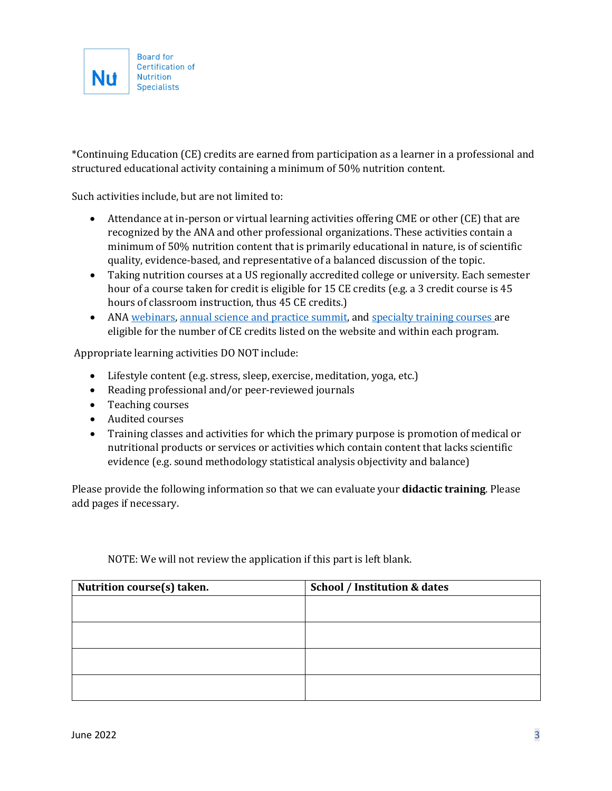

\*Continuing Education (CE) credits are earned from participation as a learner in a professional and structured educational activity containing a minimum of 50% nutrition content.

Such activities include, but are not limited to:

- Attendance at in-person or virtual learning activities offering CME or other (CE) that are recognized by the ANA and other professional organizations. These activities contain a minimum of 50% nutrition content that is primarily educational in nature, is of scientific quality, evidence-based, and representative of a balanced discussion of the topic.
- Taking nutrition courses at a US regionally accredited college or university. Each semester hour of a course taken for credit is eligible for 15 CE credits (e.g. a 3 credit course is 45 hours of classroom instruction, thus 45 CE credits.)
- AN[A webinars,](https://theana.org/events) [annual science and practice summit,](https://theana.org/personalizednutritionsummit) and [specialty training courses a](https://theana.org/trainings)re eligible for the number of CE credits listed on the website and within each program.

Appropriate learning activities DO NOT include:

- Lifestyle content (e.g. stress, sleep, exercise, meditation, yoga, etc.)
- Reading professional and/or peer-reviewed journals
- Teaching courses
- Audited courses
- Training classes and activities for which the primary purpose is promotion of medical or nutritional products or services or activities which contain content that lacks scientific evidence (e.g. sound methodology statistical analysis objectivity and balance)

Please provide the following information so that we can evaluate your **didactic training**. Please add pages if necessary.

| Nutrition course(s) taken. | <b>School / Institution &amp; dates</b> |
|----------------------------|-----------------------------------------|
|                            |                                         |
|                            |                                         |
|                            |                                         |
|                            |                                         |
|                            |                                         |
|                            |                                         |
|                            |                                         |

NOTE: We will not review the application if this part is left blank.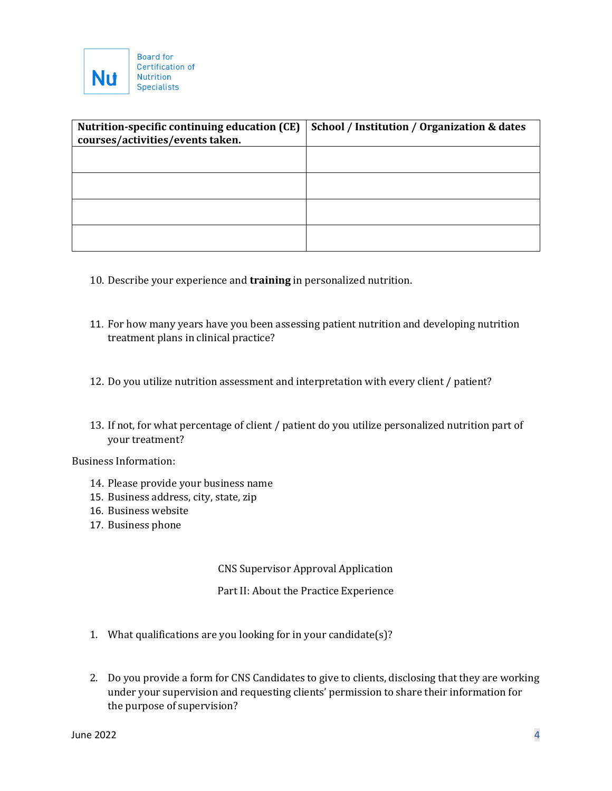

| Nutrition-specific continuing education (CE) | School / Institution / Organization & dates |
|----------------------------------------------|---------------------------------------------|
| courses/activities/events taken.             |                                             |
|                                              |                                             |
|                                              |                                             |
|                                              |                                             |
|                                              |                                             |
|                                              |                                             |
|                                              |                                             |
|                                              |                                             |
|                                              |                                             |

- 10. Describe your experience and **training** in personalized nutrition.
- 11. For how many years have you been assessing patient nutrition and developing nutrition treatment plans in clinical practice?
- 12. Do you utilize nutrition assessment and interpretation with every client / patient?
- 13. If not, for what percentage of client / patient do you utilize personalized nutrition part of your treatment?

Business Information:

- 14. Please provide your business name
- 15. Business address, city, state, zip
- 16. Business website
- 17. Business phone

CNS Supervisor Approval Application

Part II: About the Practice Experience

- 1. What qualifications are you looking for in your candidate(s)?
- 2. Do you provide a form for CNS Candidates to give to clients, disclosing that they are working under your supervision and requesting clients' permission to share their information for the purpose of supervision?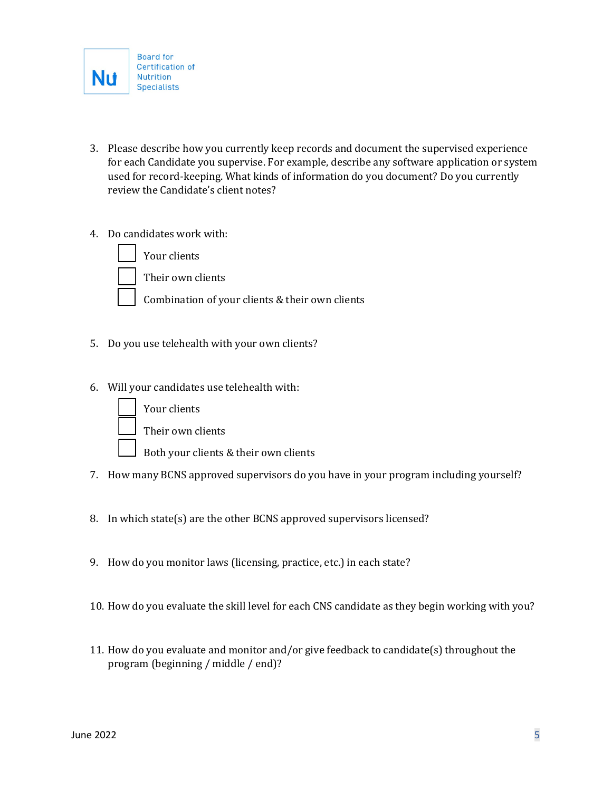

- 3. Please describe how you currently keep records and document the supervised experience for each Candidate you supervise. For example, describe any software application or system used for record-keeping. What kinds of information do you document? Do you currently review the Candidate's client notes?
- 4. Do candidates work with:

Your clients



Their own clients

Combination of your clients & their own clients

- 5. Do you use telehealth with your own clients?
- 6. Will your candidates use telehealth with:



Your clients

Their own clients

- Both your clients & their own clients
- 7. How many BCNS approved supervisors do you have in your program including yourself?
- 8. In which state(s) are the other BCNS approved supervisors licensed?
- 9. How do you monitor laws (licensing, practice, etc.) in each state?
- 10. How do you evaluate the skill level for each CNS candidate as they begin working with you?
- 11. How do you evaluate and monitor and/or give feedback to candidate(s) throughout the program (beginning / middle / end)?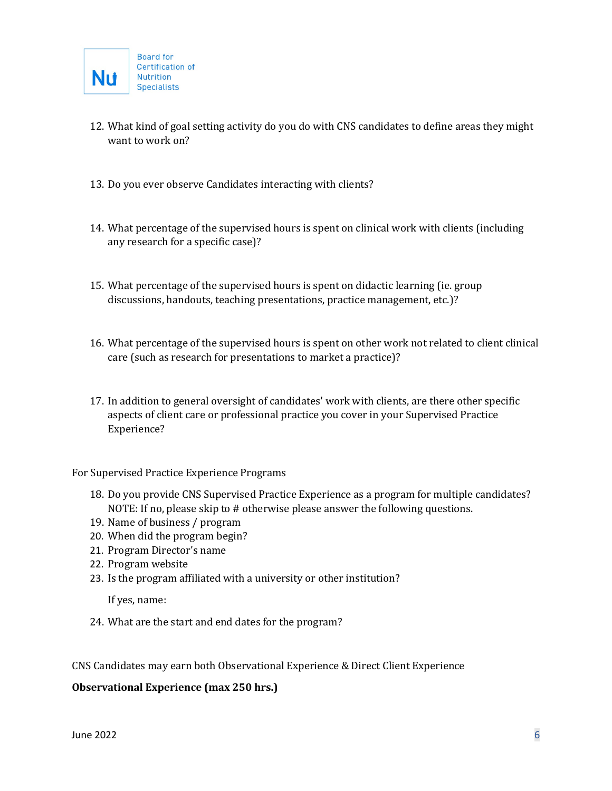- 12. What kind of goal setting activity do you do with CNS candidates to define areas they might want to work on?
- 13. Do you ever observe Candidates interacting with clients?
- 14. What percentage of the supervised hours is spent on clinical work with clients (including any research for a specific case)?
- 15. What percentage of the supervised hours is spent on didactic learning (ie. group discussions, handouts, teaching presentations, practice management, etc.)?
- 16. What percentage of the supervised hours is spent on other work not related to client clinical care (such as research for presentations to market a practice)?
- 17. In addition to general oversight of candidates' work with clients, are there other specific aspects of client care or professional practice you cover in your Supervised Practice Experience?

For Supervised Practice Experience Programs

- 18. Do you provide CNS Supervised Practice Experience as a program for multiple candidates? NOTE: If no, please skip to # otherwise please answer the following questions.
- 19. Name of business / program
- 20. When did the program begin?
- 21. Program Director's name
- 22. Program website
- 23. Is the program affiliated with a university or other institution?

If yes, name:

24. What are the start and end dates for the program?

CNS Candidates may earn both Observational Experience & Direct Client Experience

#### **Observational Experience (max 250 hrs.)**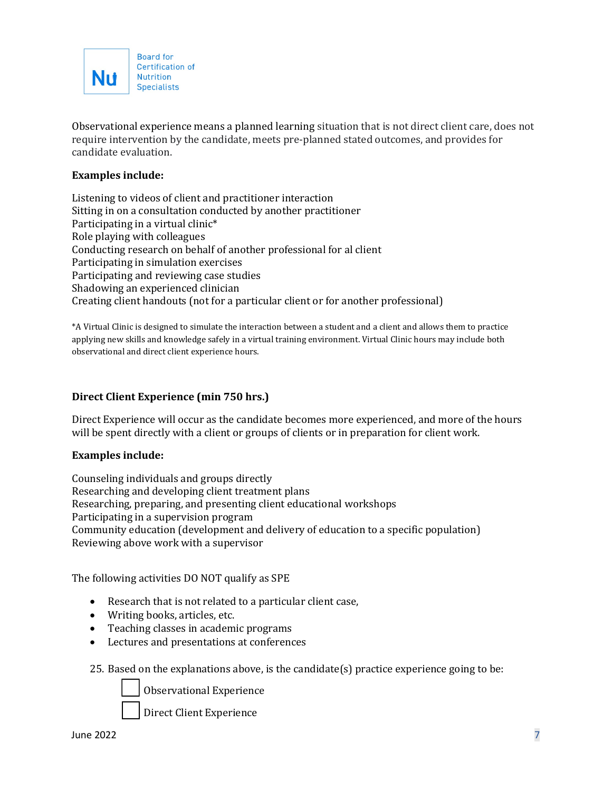

Observational experience means a planned learning situation that is not direct client care, does not require intervention by the candidate, meets pre-planned stated outcomes, and provides for candidate evaluation.

### **Examples include:**

Listening to videos of client and practitioner interaction Sitting in on a consultation conducted by another practitioner Participating in a virtual clinic\* Role playing with colleagues Conducting research on behalf of another professional for al client Participating in simulation exercises Participating and reviewing case studies Shadowing an experienced clinician Creating client handouts (not for a particular client or for another professional)

\*A Virtual Clinic is designed to simulate the interaction between a student and a client and allows them to practice applying new skills and knowledge safely in a virtual training environment. Virtual Clinic hours may include both observational and direct client experience hours.

#### **Direct Client Experience (min 750 hrs.)**

Direct Experience will occur as the candidate becomes more experienced, and more of the hours will be spent directly with a client or groups of clients or in preparation for client work.

#### **Examples include:**

Counseling individuals and groups directly Researching and developing client treatment plans Researching, preparing, and presenting client educational workshops Participating in a supervision program Community education (development and delivery of education to a specific population) Reviewing above work with a supervisor

The following activities DO NOT qualify as SPE

- Research that is not related to a particular client case,
- Writing books, articles, etc.
- Teaching classes in academic programs
- Lectures and presentations at conferences
- 25. Based on the explanations above, is the candidate(s) practice experience going to be:

Observational Experience

Direct Client Experience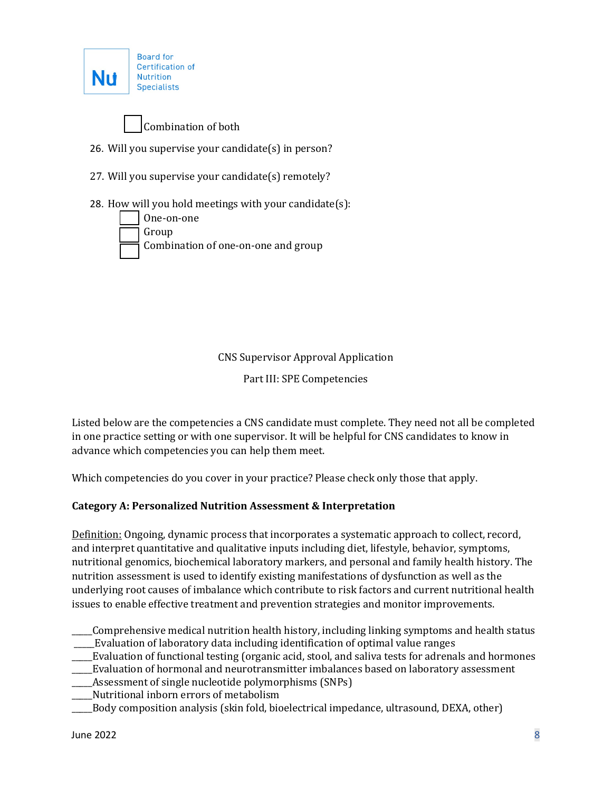



- 26. Will you supervise your candidate(s) in person?
- 27. Will you supervise your candidate(s) remotely?
- 28. How will you hold meetings with your candidate(s):



CNS Supervisor Approval Application

Part III: SPE Competencies

Listed below are the competencies a CNS candidate must complete. They need not all be completed in one practice setting or with one supervisor. It will be helpful for CNS candidates to know in advance which competencies you can help them meet.

Which competencies do you cover in your practice? Please check only those that apply.

# **Category A: Personalized Nutrition Assessment & Interpretation**

Definition: Ongoing, dynamic process that incorporates a systematic approach to collect, record, and interpret quantitative and qualitative inputs including diet, lifestyle, behavior, symptoms, nutritional genomics, biochemical laboratory markers, and personal and family health history. The nutrition assessment is used to identify existing manifestations of dysfunction as well as the underlying root causes of imbalance which contribute to risk factors and current nutritional health issues to enable effective treatment and prevention strategies and monitor improvements.

- \_\_\_\_\_Comprehensive medical nutrition health history, including linking symptoms and health status \_\_\_\_\_Evaluation of laboratory data including identification of optimal value ranges
- \_\_\_\_\_Evaluation of functional testing (organic acid, stool, and saliva tests for adrenals and hormones
- \_\_\_\_\_Evaluation of hormonal and neurotransmitter imbalances based on laboratory assessment
- Assessment of single nucleotide polymorphisms (SNPs)
- \_\_\_\_\_Nutritional inborn errors of metabolism
- \_\_\_\_\_Body composition analysis (skin fold, bioelectrical impedance, ultrasound, DEXA, other)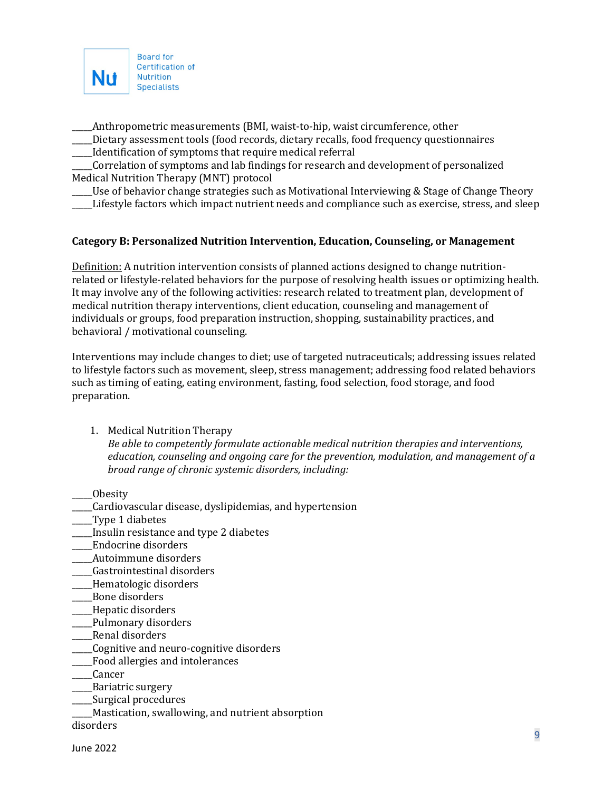

\_\_\_\_\_Anthropometric measurements (BMI, waist-to-hip, waist circumference, other

\_\_\_\_\_Dietary assessment tools (food records, dietary recalls, food frequency questionnaires \_\_\_\_\_Identification of symptoms that require medical referral

\_\_\_\_\_Correlation of symptoms and lab findings for research and development of personalized Medical Nutrition Therapy (MNT) protocol

\_\_\_\_\_Use of behavior change strategies such as Motivational Interviewing & Stage of Change Theory

Lifestyle factors which impact nutrient needs and compliance such as exercise, stress, and sleep

### **Category B: Personalized Nutrition Intervention, Education, Counseling, or Management**

Definition: A nutrition intervention consists of planned actions designed to change nutritionrelated or lifestyle-related behaviors for the purpose of resolving health issues or optimizing health. It may involve any of the following activities: research related to treatment plan, development of medical nutrition therapy interventions, client education, counseling and management of individuals or groups, food preparation instruction, shopping, sustainability practices, and behavioral / motivational counseling.

Interventions may include changes to diet; use of targeted nutraceuticals; addressing issues related to lifestyle factors such as movement, sleep, stress management; addressing food related behaviors such as timing of eating, eating environment, fasting, food selection, food storage, and food preparation.

1. Medical Nutrition Therapy

*Be able to competently formulate actionable medical nutrition therapies and interventions, education, counseling and ongoing care for the prevention, modulation, and management of a broad range of chronic systemic disorders, including:*

\_\_\_\_\_Obesity

- \_\_\_\_\_Cardiovascular disease, dyslipidemias, and hypertension
- \_\_\_\_\_Type 1 diabetes
- \_\_\_\_\_Insulin resistance and type 2 diabetes
- \_\_\_\_\_Endocrine disorders
- \_\_\_\_\_Autoimmune disorders
- \_\_\_\_\_Gastrointestinal disorders
- \_\_\_\_\_Hematologic disorders
- \_\_\_\_\_Bone disorders
- \_\_\_\_\_Hepatic disorders
- \_\_\_\_\_Pulmonary disorders
- \_\_\_\_\_Renal disorders
- \_\_\_\_\_Cognitive and neuro-cognitive disorders
- \_\_\_\_\_Food allergies and intolerances
- \_\_\_\_\_Cancer
- \_\_\_\_\_Bariatric surgery
- \_\_\_\_\_Surgical procedures
- \_\_\_\_\_Mastication, swallowing, and nutrient absorption

disorders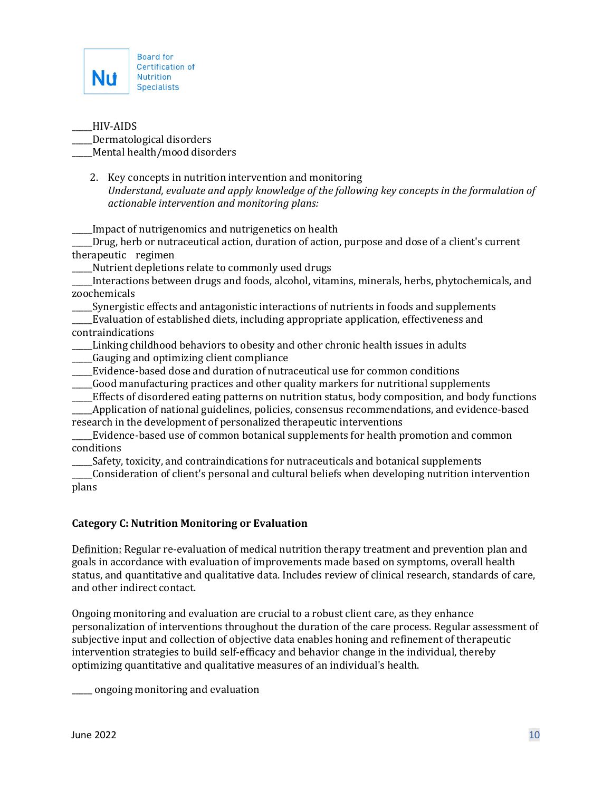

\_\_\_\_\_HIV-AIDS \_\_\_\_\_Dermatological disorders Mental health/mood disorders

2. Key concepts in nutrition intervention and monitoring *Understand, evaluate and apply knowledge of the following key concepts in the formulation of actionable intervention and monitoring plans:*

Impact of nutrigenomics and nutrigenetics on health

\_\_\_\_\_Drug, herb or nutraceutical action, duration of action, purpose and dose of a client's current therapeutic regimen

\_\_\_\_\_Nutrient depletions relate to commonly used drugs

\_\_\_\_\_Interactions between drugs and foods, alcohol, vitamins, minerals, herbs, phytochemicals, and zoochemicals

\_\_\_\_\_Synergistic effects and antagonistic interactions of nutrients in foods and supplements

\_\_\_\_\_Evaluation of established diets, including appropriate application, effectiveness and contraindications

- \_\_\_\_\_Linking childhood behaviors to obesity and other chronic health issues in adults \_\_\_\_\_Gauging and optimizing client compliance
- \_\_\_\_\_Evidence-based dose and duration of nutraceutical use for common conditions
- \_\_\_\_\_Good manufacturing practices and other quality markers for nutritional supplements
- \_\_\_\_\_Effects of disordered eating patterns on nutrition status, body composition, and body functions

\_\_\_\_\_Application of national guidelines, policies, consensus recommendations, and evidence-based research in the development of personalized therapeutic interventions

\_\_\_\_\_Evidence-based use of common botanical supplements for health promotion and common conditions

\_\_\_\_\_Safety, toxicity, and contraindications for nutraceuticals and botanical supplements

\_\_\_\_\_Consideration of client's personal and cultural beliefs when developing nutrition intervention plans

# **Category C: Nutrition Monitoring or Evaluation**

Definition: Regular re-evaluation of medical nutrition therapy treatment and prevention plan and goals in accordance with evaluation of improvements made based on symptoms, overall health status, and quantitative and qualitative data. Includes review of clinical research, standards of care, and other indirect contact.

Ongoing monitoring and evaluation are crucial to a robust client care, as they enhance personalization of interventions throughout the duration of the care process. Regular assessment of subjective input and collection of objective data enables honing and refinement of therapeutic intervention strategies to build self-efficacy and behavior change in the individual, thereby optimizing quantitative and qualitative measures of an individual's health.

\_\_\_\_\_ ongoing monitoring and evaluation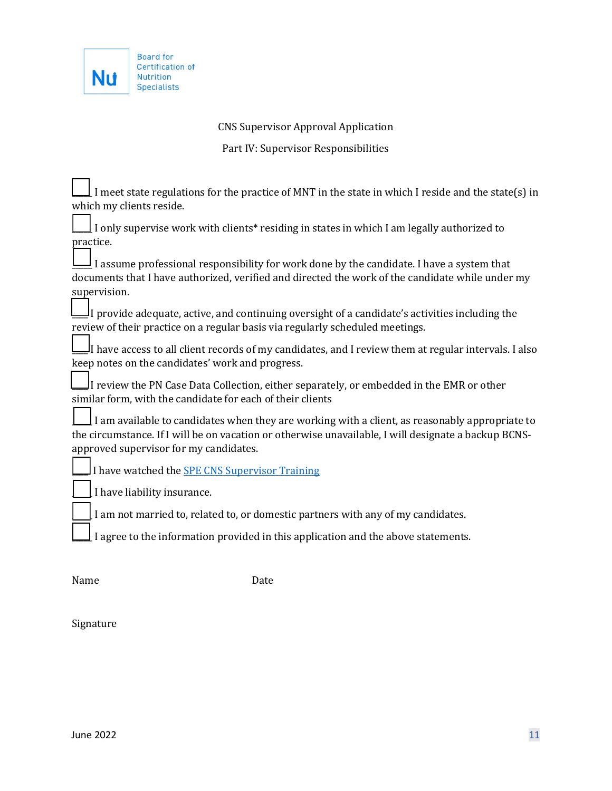

Ē

# CNS Supervisor Approval Application

Part IV: Supervisor Responsibilities

| I meet state regulations for the practice of MNT in the state in which I reside and the state(s) in        |
|------------------------------------------------------------------------------------------------------------|
| which my clients reside.                                                                                   |
| I only supervise work with clients* residing in states in which I am legally authorized to                 |
| practice.                                                                                                  |
| I assume professional responsibility for work done by the candidate. I have a system that                  |
| documents that I have authorized, verified and directed the work of the candidate while under my           |
| supervision.                                                                                               |
| I provide adequate, active, and continuing oversight of a candidate's activities including the             |
| review of their practice on a regular basis via regularly scheduled meetings.                              |
| I have access to all client records of my candidates, and I review them at regular intervals. I also الميا |
| keep notes on the candidates' work and progress.                                                           |
| I review the PN Case Data Collection, either separately, or embedded in the EMR or other                   |
| similar form, with the candidate for each of their clients                                                 |
| I am available to candidates when they are working with a client, as reasonably appropriate to             |
| the circumstance. If I will be on vacation or otherwise unavailable, I will designate a backup BCNS-       |
| approved supervisor for my candidates.                                                                     |
| I have watched the <b>SPE CNS Supervisor Training</b>                                                      |
| I have liability insurance.                                                                                |
|                                                                                                            |
| I am not married to, related to, or domestic partners with any of my candidates.                           |
| I agree to the information provided in this application and the above statements.                          |
|                                                                                                            |
|                                                                                                            |

Name Date

Signature